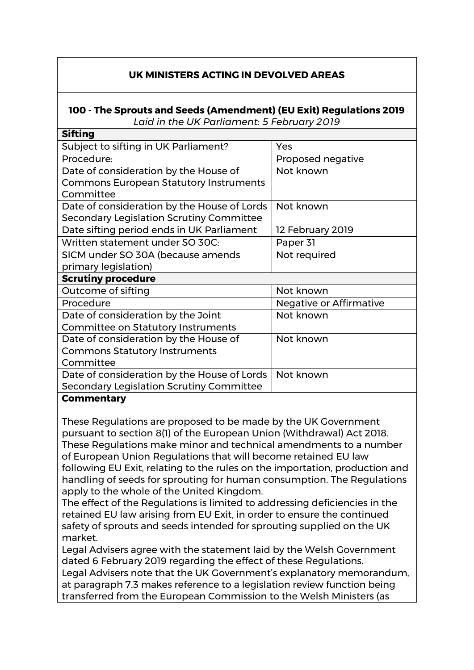## **UK MINISTERS ACTING IN DEVOLVED AREAS**

## **100 - The Sprouts and Seeds (Amendment) (EU Exit) Regulations 2019** *Laid in the UK Parliament: 5 February 2019*

**Sifting**  Subject to sifting in UK Parliament? Procedure: Proposed negative Date of consideration by the House of Commons European Statutory Instruments Committee Not known Date of consideration by the House of Lords Secondary Legislation Scrutiny Committee Not known Date sifting period ends in UK Parliament | 12 February 2019 Written statement under SO 30C: Paper 31 SICM under SO 30A (because amends primary legislation) Not required **Scrutiny procedure**  Outcome of sifting Not known Procedure Negative or Affirmative Date of consideration by the Joint Committee on Statutory Instruments Not known Date of consideration by the House of Commons Statutory Instruments **Committee** Not known Date of consideration by the House of Lords Secondary Legislation Scrutiny Committee Not known

## **Commentary**

These Regulations are proposed to be made by the UK Government pursuant to section 8(1) of the European Union (Withdrawal) Act 2018. These Regulations make minor and technical amendments to a number of European Union Regulations that will become retained EU law following EU Exit, relating to the rules on the importation, production and handling of seeds for sprouting for human consumption. The Regulations apply to the whole of the United Kingdom.

The effect of the Regulations is limited to addressing deficiencies in the retained EU law arising from EU Exit, in order to ensure the continued safety of sprouts and seeds intended for sprouting supplied on the UK market.

Legal Advisers agree with the statement laid by the Welsh Government dated 6 February 2019 regarding the effect of these Regulations.

Legal Advisers note that the UK Government's explanatory memorandum, at paragraph 7.3 makes reference to a legislation review function being transferred from the European Commission to the Welsh Ministers (as